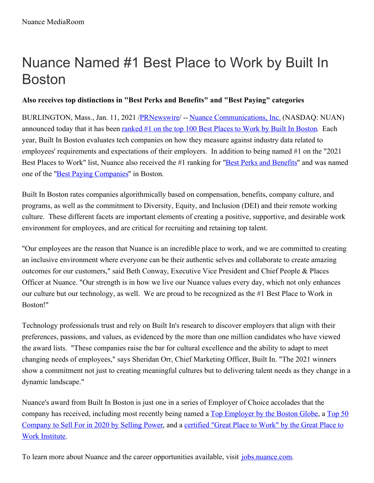## Nuance Named #1 Best Place to Work by Built In Boston

## **Also receives top distinctions in "Best Perks and Benefits" and "Best Paying" categories**

BURLINGTON, Mass., Jan. 11, 2021 /**PRNewswire/** -- Nuance [Communications,](https://c212.net/c/link/?t=0&l=en&o=3030130-1&h=333097533&u=https%3A%2F%2Fwww.nuance.com%2Findex.html&a=Nuance+Communications%2C+Inc.) Inc. (NASDAQ: NUAN) announced today that it has been [ranked](https://c212.net/c/link/?t=0&l=en&o=3030130-1&h=820316344&u=https%3A%2F%2Furldefense.com%2Fv3%2F__https%3A%2Fsales.builtin.com%2Fapi%2Fmailings%2Fclick%2FPMRHK4TMEI5CE2DUORYHGORPF53XO5ZOMJ2WS3DUNFXGE33TORXW4LTDN5WS6Y3PNVYGC3TJMVZS6YTFON2C24DMMFRWK4ZNORXS253POJVS2YTPON2G63RNGIYDEMJDNZ2WC3TDMURCYITJMQRDUNJVHA4TGNZMEJXXEZZCHIRDONBQGY3DKNJSFUZGMYTCFU2GIOJRFU4DKNZQFU4DKZRTMMYTGNJWMI4DCIRMEJ3GK4TTNFXW4IR2EI2CELBCONUWOIR2EJBHMQJSIJUE2MKROVTDC2TQIQZUCYSDJRFGGMDSFVWGSNKMMZJFMMTRNJ3UWTDSFVTTOQJ5EJ6Q%3D%3D%3D%3D__%3B!!L7QdHkQ!1US48G-lDzopa4ZgV7iBYzSDDxZhPcRaaXTzjjghXnAynP3j6OMpOiKdwcZt1yXq%24&a=ranked+%231+on+the+top+100+Best+Places+to+Work+by+Built+In+Boston) #1 on the top 100 Best Places to Work by Built In Boston. Each year, Built In Boston evaluates tech companies on how they measure against industry data related to employees' requirements and expectations of their employers. In addition to being named #1 on the "2021 Best Places to Work" list, Nuance also received the #1 ranking for "Best Perks and [Benefits](https://c212.net/c/link/?t=0&l=en&o=3030130-1&h=2696139968&u=https%3A%2F%2Furldefense.com%2Fv3%2F__https%3A%2Fsales.builtin.com%2Fapi%2Fmailings%2Fclick%2FPMRHK4TMEI5CE2DUORYHGORPF53XO5ZOMJ2WS3DUNFXGE33TORXW4LTDN5WS6Y3PNVYGC3TJMVZS6Y3PNVYGC3TJMVZS2YTFON2C2YTFNZSWM2LUOMWWE33TORXW4LJSGAZDCI3OOVQW4Y3FEIWCE2LEEI5DKNJYHEZTOLBCN5ZGOIR2EI3TIMBWGY2TKMRNGJTGEYRNGRSDSMJNHA2TOMBNHA2WMM3DGEZTKNTCHAYSELBCOZSXE43JN5XCEORCGQRCYITTNFTSEORCLJPTGYTHJRBEEZ2CGVHDGY2GG44GE2SKGEYG66TLOVSUCRKUJNUFS23JLBJVSZ3MLBUDAPJCPU%3D%3D%3D%3D%3D%3D__%3B!!L7QdHkQ!1US48G-lDzopa4ZgV7iBYzSDDxZhPcRaaXTzjjghXnAynP3j6OMpOiKdwXz8dioY%24&a=Best+Perks+and+Benefits)" and was named one of the "**Best Paying [Companies](https://c212.net/c/link/?t=0&l=en&o=3030130-1&h=2391936889&u=https%3A%2F%2Furldefense.com%2Fv3%2F__https%3A%2Fsales.builtin.com%2Fapi%2Fmailings%2Fclick%2FPMRHK4TMEI5CE2DUORYHGORPF53XO5ZOMJ2WS3DUNFXGE33TORXW4LTDN5WS6Y3PNVYGC3TJMVZS6YTFON2C24DBPFUW4ZZNMNXW24DBNZUWK4ZNMJXXG5DPNYWTEMBSGERW45LBNZRWKIRMEJUWIIR2GU2TQOJTG4WCE33SM4RDUIRXGQYDMNRVGUZC2MTGMJRC2NDEHEYS2OBVG4YC2OBVMYZWGMJTGU3GEOBREIWCE5TFOJZWS33OEI5CENBCFQRHG2LHEI5CEUKPO5LEGUKKKFMGE3TRJRCXSS2MMNITSY2PNY4XK4LHIF3W2U2KII4HKS2ILJVDMSRNMM6SE7I%3D__%3B!!L7QdHkQ!1US48G-lDzopa4ZgV7iBYzSDDxZhPcRaaXTzjjghXnAynP3j6OMpOiKdwemxto6N%24&a=Best+Paying+Companies)**" in Boston.

Built In Boston rates companies algorithmically based on compensation, benefits, company culture, and programs, as well as the commitment to Diversity, Equity, and Inclusion (DEI) and their remote working culture. These different facets are important elements of creating a positive, supportive, and desirable work environment for employees, and are critical for recruiting and retaining top talent.

"Our employees are the reason that Nuance is an incredible place to work, and we are committed to creating an inclusive environment where everyone can be their authentic selves and collaborate to create amazing outcomes for our customers," said Beth Conway, Executive Vice President and Chief People & Places Officer at Nuance. "Our strength is in how we live our Nuance values every day, which not only enhances our culture but our technology, as well. We are proud to be recognized as the #1 Best Place to Work in Boston!"

Technology professionals trust and rely on Built In's research to discover employers that align with their preferences, passions, and values, as evidenced by the more than one million candidates who have viewed the award lists. "These companies raise the bar for cultural excellence and the ability to adapt to meet changing needs of employees," says Sheridan Orr, Chief Marketing Officer, Built In. "The 2021 winners show a commitment not just to creating meaningful cultures but to delivering talent needs as they change in a dynamic landscape."

Nuance's award from Built In Boston is just one in a series of Employer of Choice accolades that the company has received, including most recently being named a Top [Employer](https://c212.net/c/link/?t=0&l=en&o=3030130-1&h=383462006&u=https%3A%2F%2Fnews.nuance.com%2F2020-11-23-The-Boston-Globe-Names-Nuance-a-Top-Place-to-Work-for-2020&a=Top+Employer+by+the+Boston+Globe) by the Boston Globe, a Top 50 [Company](https://c212.net/c/link/?t=0&l=en&o=3030130-1&h=3209164994&u=https%3A%2F%2Fwww.greatplacetowork.com%2Fcertified-company%2F1238961&a=certified+%22Great+Place+to+Work%22+by+the+Great+Place+to+Work+Institute) to Sell For in 2020 by Selling Power, and a certified "Great Place to Work" by the Great Place to Work Institute.

To learn more about Nuance and the career opportunities available, visit [jobs.nuance.com](https://c212.net/c/link/?t=0&l=en&o=3030130-1&h=1696487994&u=https%3A%2F%2Fwww.nuance.com%2Fabout-us%2Fcareers.html%3Futm_campaign%3DEmployerOfChoice%26utm_medium%3DWebsite%26utm_source%3Dpressrelease&a=jobs.nuance.com).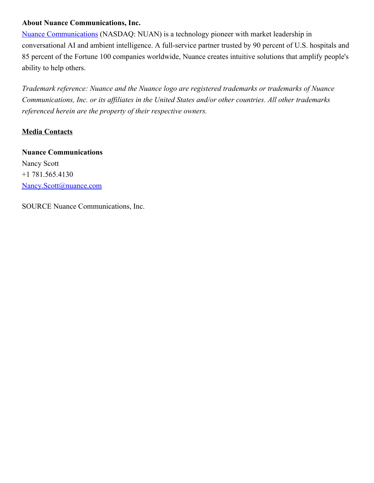## **About Nuance Communications, Inc.**

Nuance [Communications](https://c212.net/c/link/?t=0&l=en&o=3030130-1&h=2921761242&u=https%3A%2F%2Fc212.net%2Fc%2Flink%2F%3Ft%3D0%26l%3Den%26o%3D2962967-1%26h%3D505812426%26u%3Dhttps%253A%252F%252Fwww.nuance.com%252Findex.html%26a%3DNuance%2BCommunications&a=Nuance+Communications) (NASDAQ: NUAN) is a technology pioneer with market leadership in conversational AI and ambient intelligence. A full-service partner trusted by 90 percent of U.S. hospitals and 85 percent of the Fortune 100 companies worldwide, Nuance creates intuitive solutions that amplify people's ability to help others.

*Trademark reference: Nuance and the Nuance logo are registered trademarks or trademarks of Nuance Communications, Inc. or its af iliates in the United States and/or other countries. All other trademarks referenced herein are the property of their respective owners.*

## **Media Contacts**

**Nuance Communications** Nancy Scott +1 781.565.4130 [Nancy.Scott@nuance.com](mailto:Nancy.Scott@nuance.com)

SOURCE Nuance Communications, Inc.